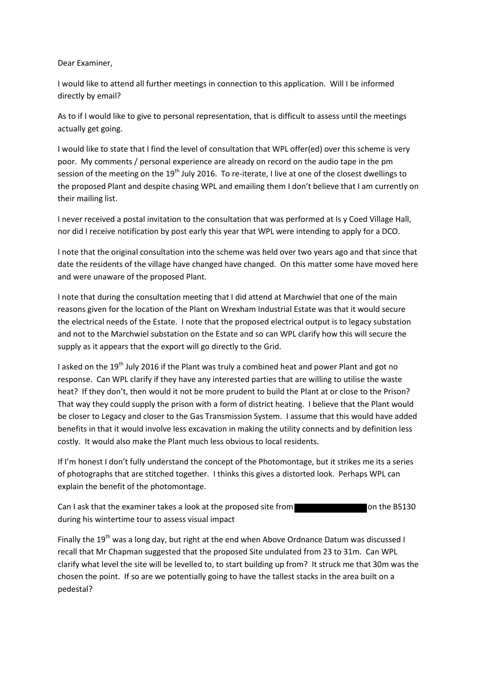## Dear Examiner,

I would like to attend all further meetings in connection to this application. Will I be informed directly by email?

As to if I would like to give to personal representation, that is difficult to assess until the meetings actually get going.

I would like to state that I find the level of consultation that WPL offer(ed) over this scheme is very poor. My comments / personal experience are already on record on the audio tape in the pm session of the meeting on the 19<sup>th</sup> July 2016. To re-iterate, I live at one of the closest dwellings to the proposed Plant and despite chasing WPL and emailing them I don't believe that I am currently on their mailing list.

I never received a postal invitation to the consultation that was performed at Is y Coed Village Hall, nor did I receive notification by post early this year that WPL were intending to apply for a DCO.

I note that the original consultation into the scheme was held over two years ago and that since that date the residents of the village have changed have changed. On this matter some have moved here and were unaware of the proposed Plant.

I note that during the consultation meeting that I did attend at Marchwiel that one of the main reasons given for the location of the Plant on Wrexham Industrial Estate was that it would secure the electrical needs of the Estate. I note that the proposed electrical output is to legacy substation and not to the Marchwiel substation on the Estate and so can WPL clarify how this will secure the supply as it appears that the export will go directly to the Grid.

I asked on the 19<sup>th</sup> July 2016 if the Plant was truly a combined heat and power Plant and got no response. Can WPL clarify if they have any interested parties that are willing to utilise the waste heat? If they don't, then would it not be more prudent to build the Plant at or close to the Prison? That way they could supply the prison with a form of district heating. I believe that the Plant would be closer to Legacy and closer to the Gas Transmission System. I assume that this would have added benefits in that it would involve less excavation in making the utility connects and by definition less costly. It would also make the Plant much less obvious to local residents.

If I'm honest I don't fully understand the concept of the Photomontage, but it strikes me its a series of photographs that are stitched together. I thinks this gives a distorted look. Perhaps WPL can explain the benefit of the photomontage.

Can I ask that the examiner takes a look at the proposed site from **the Can I ask that the B5130** during his wintertime tour to assess visual impact

Finally the 19<sup>th</sup> was a long day, but right at the end when Above Ordnance Datum was discussed I recall that Mr Chapman suggested that the proposed Site undulated from 23 to 31m. Can WPL clarify what level the site will be levelled to, to start building up from? It struck me that 30m was the chosen the point. If so are we potentially going to have the tallest stacks in the area built on a pedestal?